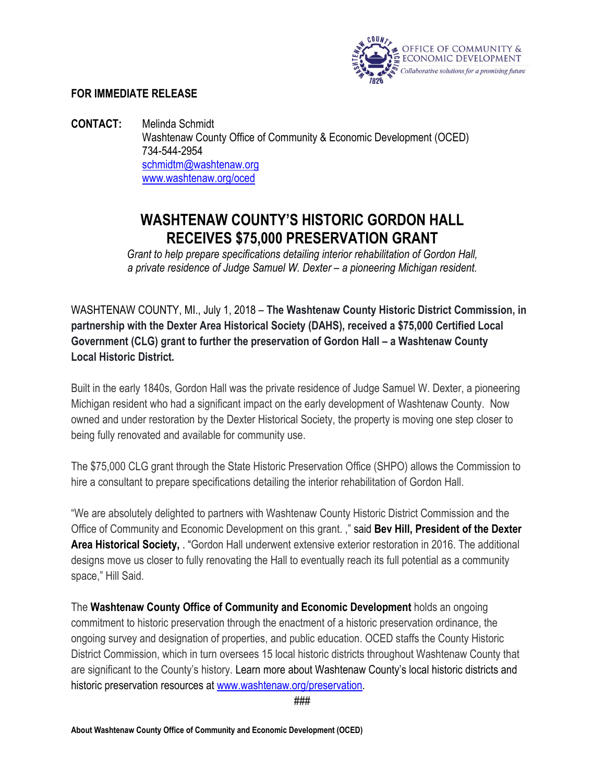

## **FOR IMMEDIATE RELEASE**

**CONTACT:** Melinda Schmidt Washtenaw County Office of Community & Economic Development (OCED) 734-544-2954 schmidtm@washtenaw.org [www.washtenaw.org/oced](http://www.washtenaw.org/oced)

## **WASHTENAW COUNTY'S HISTORIC GORDON HALL RECEIVES \$75,000 PRESERVATION GRANT**

*Grant to help prepare specifications detailing interior rehabilitation of Gordon Hall, a private residence of Judge Samuel W. Dexter – a pioneering Michigan resident.*

WASHTENAW COUNTY, MI., July 1, 2018 – **The Washtenaw County Historic District Commission, in partnership with the Dexter Area Historical Society (DAHS), received a \$75,000 Certified Local Government (CLG) grant to further the preservation of Gordon Hall – a Washtenaw County Local Historic District.**

Built in the early 1840s, Gordon Hall was the private residence of Judge Samuel W. Dexter, a pioneering Michigan resident who had a significant impact on the early development of Washtenaw County. Now owned and under restoration by the Dexter Historical Society, the property is moving one step closer to being fully renovated and available for community use.

The \$75,000 CLG grant through the State Historic Preservation Office (SHPO) allows the Commission to hire a consultant to prepare specifications detailing the interior rehabilitation of Gordon Hall.

"We are absolutely delighted to partners with Washtenaw County Historic District Commission and the Office of Community and Economic Development on this grant. ," said **Bev Hill, President of the Dexter Area Historical Society,** . "Gordon Hall underwent extensive exterior restoration in 2016. The additional designs move us closer to fully renovating the Hall to eventually reach its full potential as a community space," Hill Said.

The **Washtenaw County Office of Community and Economic Development** holds an ongoing commitment to historic preservation through the enactment of a historic preservation ordinance, the ongoing survey and designation of properties, and public education. OCED staffs the County Historic District Commission, which in turn oversees 15 local historic districts throughout Washtenaw County that are significant to the County's history. Learn more about Washtenaw County's local historic districts and historic preservation resources at [www.washtenaw.org/preservation.](http://www.washtenaw.org/preservation)

###